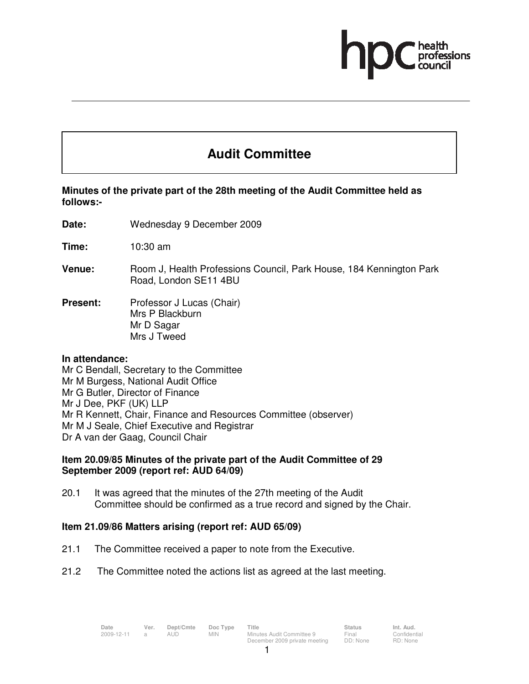

# **Audit Committee**

## **Minutes of the private part of the 28th meeting of the Audit Committee held as follows:-**

- **Date:** Wednesday 9 December 2009
- **Time:** 10:30 am
- **Venue: Room J, Health Professions Council, Park House, 184 Kennington Park** Road, London SE11 4BU
- **Present:** Professor J Lucas (Chair) Mrs P Blackburn Mr D Sagar Mrs J Tweed

#### **In attendance:**

Mr C Bendall, Secretary to the Committee Mr M Burgess, National Audit Office Mr G Butler, Director of Finance Mr J Dee, PKF (UK) LLP Mr R Kennett, Chair, Finance and Resources Committee (observer) Mr M J Seale, Chief Executive and Registrar Dr A van der Gaag, Council Chair

#### **Item 20.09/85 Minutes of the private part of the Audit Committee of 29 September 2009 (report ref: AUD 64/09)**

20.1 It was agreed that the minutes of the 27th meeting of the Audit Committee should be confirmed as a true record and signed by the Chair.

### **Item 21.09/86 Matters arising (report ref: AUD 65/09)**

- 21.1 The Committee received a paper to note from the Executive.
- 21.2 The Committee noted the actions list as agreed at the last meeting.